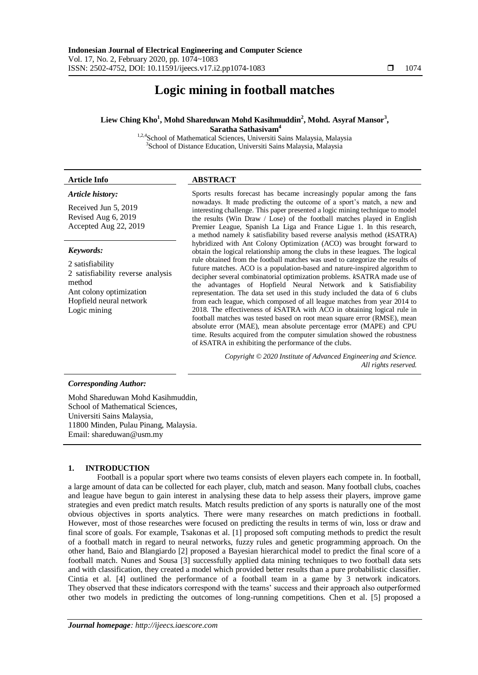# **Logic mining in football matches**

# **Liew Ching Kho<sup>1</sup> , Mohd Shareduwan Mohd Kasihmuddin<sup>2</sup> , Mohd. Asyraf Mansor<sup>3</sup> , Saratha Sathasivam<sup>4</sup>**

<sup>1,2,4</sup>School of Mathematical Sciences, Universiti Sains Malaysia, Malaysia <sup>3</sup>School of Distance Education, Universiti Sains Malaysia, Malaysia

# **Article Info ABSTRACT**

# *Article history:*

Received Jun 5, 2019 Revised Aug 6, 2019 Accepted Aug 22, 2019

# *Keywords:*

2 satisfiability 2 satisfiability reverse analysis method Ant colony optimization Hopfield neural network Logic mining

Sports results forecast has became increasingly popular among the fans nowadays. It made predicting the outcome of a sport's match, a new and interesting challenge. This paper presented a logic mining technique to model the results (Win Draw / Lose) of the football matches played in English Premier League, Spanish La Liga and France Ligue 1. In this research, a method namely *k* satisfiability based reverse analysis method (*k*SATRA) hybridized with Ant Colony Optimization (ACO) was brought forward to obtain the logical relationship among the clubs in these leagues. The logical rule obtained from the football matches was used to categorize the results of future matches. ACO is a population-based and nature-inspired algorithm to decipher several combinatorial optimization problems. *k*SATRA made use of the advantages of Hopfield Neural Network and k Satisfiability representation. The data set used in this study included the data of 6 clubs from each league, which composed of all league matches from year 2014 to 2018. The effectiveness of *k*SATRA with ACO in obtaining logical rule in football matches was tested based on root mean square error (RMSE), mean absolute error (MAE), mean absolute percentage error (MAPE) and CPU time. Results acquired from the computer simulation showed the robustness of *k*SATRA in exhibiting the performance of the clubs.

> *Copyright © 2020 Institute of Advanced Engineering and Science. All rights reserved.*

## *Corresponding Author:*

Mohd Shareduwan Mohd Kasihmuddin, School of Mathematical Sciences, Universiti Sains Malaysia, 11800 Minden, Pulau Pinang, Malaysia. Email: shareduwan@usm.my

# **1. INTRODUCTION**

Football is a popular sport where two teams consists of eleven players each compete in. In football, a large amount of data can be collected for each player, club, match and season. Many football clubs, coaches and league have begun to gain interest in analysing these data to help assess their players, improve game strategies and even predict match results. Match results prediction of any sports is naturally one of the most obvious objectives in sports analytics. There were many researches on match predictions in football. However, most of those researches were focused on predicting the results in terms of win, loss or draw and final score of goals. For example, Tsakonas et al. [1] proposed soft computing methods to predict the result of a football match in regard to neural networks, fuzzy rules and genetic programming approach. On the other hand, Baio and Blangiardo [2] proposed a Bayesian hierarchical model to predict the final score of a football match. Nunes and Sousa [3] successfully applied data mining techniques to two football data sets and with classification, they created a model which provided better results than a pure probabilistic classifier. Cintia et al. [4] outlined the performance of a football team in a game by 3 network indicators. They observed that these indicators correspond with the teams' success and their approach also outperformed other two models in predicting the outcomes of long-running competitions. Chen et al. [5] proposed a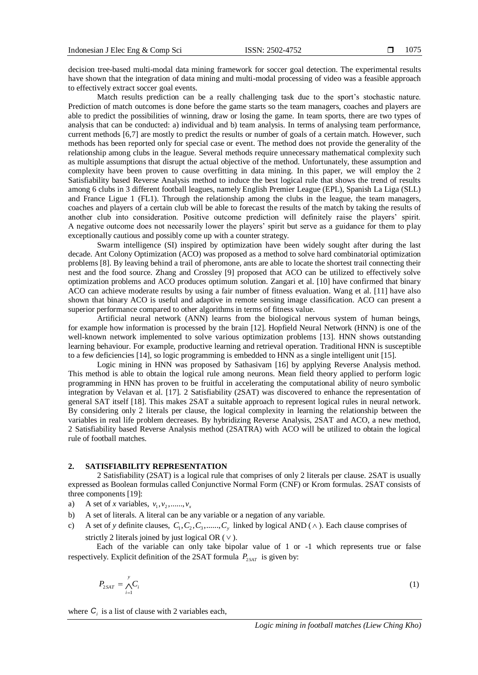decision tree-based multi-modal data mining framework for soccer goal detection. The experimental results have shown that the integration of data mining and multi-modal processing of video was a feasible approach to effectively extract soccer goal events.

Match results prediction can be a really challenging task due to the sport's stochastic nature. Prediction of match outcomes is done before the game starts so the team managers, coaches and players are able to predict the possibilities of winning, draw or losing the game. In team sports, there are two types of analysis that can be conducted: a) individual and b) team analysis. In terms of analysing team performance, current methods [6,7] are mostly to predict the results or number of goals of a certain match. However, such methods has been reported only for special case or event. The method does not provide the generality of the relationship among clubs in the league. Several methods require unnecessary mathematical complexity such as multiple assumptions that disrupt the actual objective of the method. Unfortunately, these assumption and complexity have been proven to cause overfitting in data mining. In this paper, we will employ the 2 Satisfiability based Reverse Analysis method to induce the best logical rule that shows the trend of results among 6 clubs in 3 different football leagues, namely English Premier League (EPL), Spanish La Liga (SLL) and France Ligue 1 (FL1). Through the relationship among the clubs in the league, the team managers, coaches and players of a certain club will be able to forecast the results of the match by taking the results of another club into consideration. Positive outcome prediction will definitely raise the players' spirit. A negative outcome does not necessarily lower the players' spirit but serve as a guidance for them to play exceptionally cautious and possibly come up with a counter strategy.

Swarm intelligence (SI) inspired by optimization have been widely sought after during the last decade. Ant Colony Optimization (ACO) was proposed as a method to solve hard combinatorial optimization problems [8]. By leaving behind a trail of pheromone, ants are able to locate the shortest trail connecting their nest and the food source. Zhang and Crossley [9] proposed that ACO can be utilized to effectively solve optimization problems and ACO produces optimum solution. Zangari et al. [10] have confirmed that binary ACO can achieve moderate results by using a fair number of fitness evaluation. Wang et al. [11] have also shown that binary ACO is useful and adaptive in remote sensing image classification. ACO can present a superior performance compared to other algorithms in terms of fitness value.

Artificial neural network (ANN) learns from the biological nervous system of human beings, for example how information is processed by the brain [12]. Hopfield Neural Network (HNN) is one of the well-known network implemented to solve various optimization problems [13]. HNN shows outstanding learning behaviour. For example, productive learning and retrieval operation. Traditional HNN is susceptible to a few deficiencies [14], so logic programming is embedded to HNN as a single intelligent unit [15].

Logic mining in HNN was proposed by Sathasivam [16] by applying Reverse Analysis method. This method is able to obtain the logical rule among neurons. Mean field theory applied to perform logic programming in HNN has proven to be fruitful in accelerating the computational ability of neuro symbolic integration by Velavan et al. [17]. 2 Satisfiability (2SAT) was discovered to enhance the representation of general SAT itself [18]. This makes 2SAT a suitable approach to represent logical rules in neural network. By considering only 2 literals per clause, the logical complexity in learning the relationship between the variables in real life problem decreases. By hybridizing Reverse Analysis, 2SAT and ACO, a new method, 2 Satisfiability based Reverse Analysis method (2SATRA) with ACO will be utilized to obtain the logical rule of football matches.

#### **2. SATISFIABILITY REPRESENTATION**

2 Satisfiability (2SAT) is a logical rule that comprises of only 2 literals per clause. 2SAT is usually expressed as Boolean formulas called Conjunctive Normal Form (CNF) or Krom formulas. 2SAT consists of three components [19]:

- a) A set of *x* variables,  $v_1, v_2, \ldots, v_x$
- b) A set of literals. A literal can be any variable or a negation of any variable.
- c) A set of *y* definite clauses,  $C_1, C_2, C_3, \dots, C_y$  linked by logical AND ( $\land$ ). Each clause comprises of strictly 2 literals joined by just logical OR  $(\vee)$ .

Each of the variable can only take bipolar value of 1 or -1 which represents true or false respectively. Explicit definition of the 2SAT formula  $P_{2SAT}$  is given by:

$$
P_{2SAT} = \bigwedge_{i=1}^{y} C_i \tag{1}
$$

where  $C_i$  is a list of clause with 2 variables each,

*Logic mining in football matches (Liew Ching Kho)*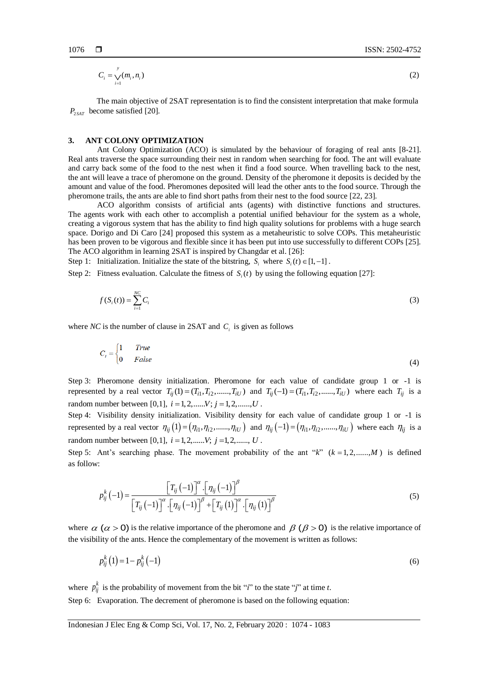$$
C_i = \bigvee_{i=1}^y (m_i, n_i) \tag{2}
$$

The main objective of 2SAT representation is to find the consistent interpretation that make formula  $P_{2SAT}$  become satisfied [20].

#### **3. ANT COLONY OPTIMIZATION**

Ant Colony Optimization (ACO) is simulated by the behaviour of foraging of real ants [8-21]. Real ants traverse the space surrounding their nest in random when searching for food. The ant will evaluate and carry back some of the food to the nest when it find a food source. When travelling back to the nest, the ant will leave a trace of pheromone on the ground. Density of the pheromone it deposits is decided by the amount and value of the food. Pheromones deposited will lead the other ants to the food source. Through the pheromone trails, the ants are able to find short paths from their nest to the food source [22, 23].

ACO algorithm consists of artificial ants (agents) with distinctive functions and structures. The agents work with each other to accomplish a potential unified behaviour for the system as a whole, creating a vigorous system that has the ability to find high quality solutions for problems with a huge search space. Dorigo and Di Caro [24] proposed this system as a metaheuristic to solve COPs. This metaheuristic has been proven to be vigorous and flexible since it has been put into use successfully to different COPs [25]. The ACO algorithm in learning 2SAT is inspired by Changdar et al. [26]:

Step 1: Initialization. Initialize the state of the bitstring,  $S_i$  where  $S_i(t) \in [1, -1]$ .

Step 2: Fitness evaluation. Calculate the fitness of  $S_i(t)$  by using the following equation [27]:

$$
f(S_i(t)) = \sum_{i=1}^{NC} C_i
$$
\n(3)

where *NC* is the number of clause in 2SAT and  $C_i$  is given as follows

$$
C_i = \begin{cases} 1 & True \\ 0 & False \end{cases}
$$
 (4)

Step 3: Pheromone density initialization. Pheromone for each value of candidate group 1 or -1 is represented by a real vector  $T_{ij}(1) = (T_{i1}, T_{i2}, \dots, T_{iU})$  and  $T_{ij}(-1) = (T_{i1}, T_{i2}, \dots, T_{iU})$  where each  $T_{ij}$  is a random number between [0,1],  $i = 1, 2, \dots, V$ ;  $j = 1, 2, \dots, U$ .

Step 4: Visibility density initialization. Visibility density for each value of candidate group 1 or -1 is represented by a real vector  $\eta_{ij}(1) = (\eta_{i1}, \eta_{i2}, \dots, \eta_{iU})$  and  $\eta_{ij}(-1) = (\eta_{i1}, \eta_{i2}, \dots, \eta_{iU})$  where each  $\eta_{ij}$  is a random number between [0,1],  $i = 1, 2, \dots, V$ ;  $j = 1, 2, \dots, U$ .

Step 5: Ant's searching phase. The movement probability of the ant " $k$ "  $(k = 1, 2, \dots, M)$  is defined as follow:

$$
p_{ij}^{k}(-1) = \frac{\left[T_{ij}(-1)\right]^{\alpha} \cdot \left[\eta_{ij}(-1)\right]^{\beta}}{\left[T_{ij}(-1)\right]^{\alpha} \cdot \left[\eta_{ij}(-1)\right]^{\beta} + \left[T_{ij}(1)\right]^{\alpha} \cdot \left[\eta_{ij}(1)\right]^{\beta}}
$$
\n
$$
(5)
$$

where  $\alpha$  ( $\alpha$  > 0) is the relative importance of the pheromone and  $\beta$  ( $\beta$  > 0) is the relative importance of the visibility of the ants. Hence the complementary of the movement is written as follows:

$$
p_{ij}^k(1) = 1 - p_{ij}^k(-1) \tag{6}
$$

where  $p_{ij}^k$  is the probability of movement from the bit "*i*" to the state "*j*" at time *t*.

Step 6: Evaporation. The decrement of pheromone is based on the following equation: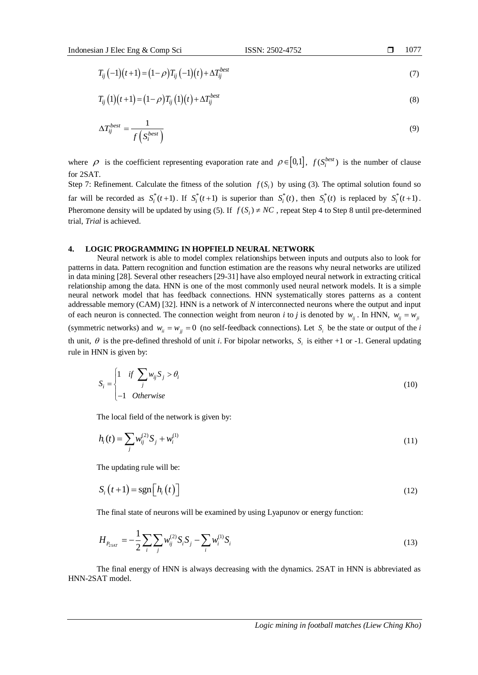$$
\Box \qquad 10
$$

$$
T_{ij}(-1)(t+1) = (1-\rho)T_{ij}(-1)(t) + \Delta T_{ij}^{best}
$$
\n(7)

$$
T_{ij}(1)(t+1) = (1-\rho)T_{ij}(1)(t) + \Delta T_{ij}^{best}
$$
\n(8)

$$
\Delta T_{ij}^{best} = \frac{1}{f\left(S_i^{best}\right)}\tag{9}
$$

where  $\rho$  is the coefficient representing evaporation rate and  $\rho \in [0,1]$ ,  $f(S_i^{best})$  is the number of clause  $for 2SAT$ 

Step 7: Refinement. Calculate the fitness of the solution  $f(S_i)$  by using (3). The optimal solution found so far will be recorded as  $S_i^*(t+1)$ . If  $S_i^*(t+1)$  is superior than  $S_i^*(t)$ , then  $S_i^*(t)$  is replaced by  $S_i^*(t+1)$ . Pheromone density will be updated by using (5). If  $f(S_i) \neq NC$ , repeat Step 4 to Step 8 until pre-determined trial, *Trial* is achieved.

## **4. LOGIC PROGRAMMING IN HOPFIELD NEURAL NETWORK**

Neural network is able to model complex relationships between inputs and outputs also to look for patterns in data. Pattern recognition and function estimation are the reasons why neural networks are utilized in data mining [28]. Several other reseachers [29-31] have also employed neural network in extracting critical relationship among the data. HNN is one of the most commonly used neural network models. It is a simple neural network model that has feedback connections. HNN systematically stores patterns as a content addressable memory (CAM) [32]. HNN is a network of *N* interconnected neurons where the output and input of each neuron is connected. The connection weight from neuron *i* to *j* is denoted by  $w_{ij}$ . In HNN,  $w_{ij} = w_{ji}$ (symmetric networks) and  $w_{ii} = w_{jj} = 0$  (no self-feedback connections). Let  $S_i$  be the state or output of the *i* th unit,  $\theta$  is the pre-defined threshold of unit *i*. For bipolar networks,  $S_i$  is either +1 or -1. General updating rule in HNN is given by:

$$
S_i = \begin{cases} 1 & \text{if } \sum_j w_{ij} S_j > \theta_i \\ -1 & \text{Otherwise} \end{cases}
$$
 (10)

The local field of the network is given by:

$$
h_i(t) = \sum_j w_{ij}^{(2)} S_j + w_i^{(1)}
$$
\n(11)

The updating rule will be:

$$
S_i(t+1) = \text{sgn}\big[h_i(t)\big]
$$
 (12)

The final state of neurons will be examined by using Lyapunov or energy function:

$$
H_{P_{2SAT}} = -\frac{1}{2} \sum_{i} \sum_{j} w_{ij}^{(2)} S_i S_j - \sum_{i} w_{i}^{(1)} S_i
$$
\n(13)

The final energy of HNN is always decreasing with the dynamics. 2SAT in HNN is abbreviated as HNN-2SAT model.

177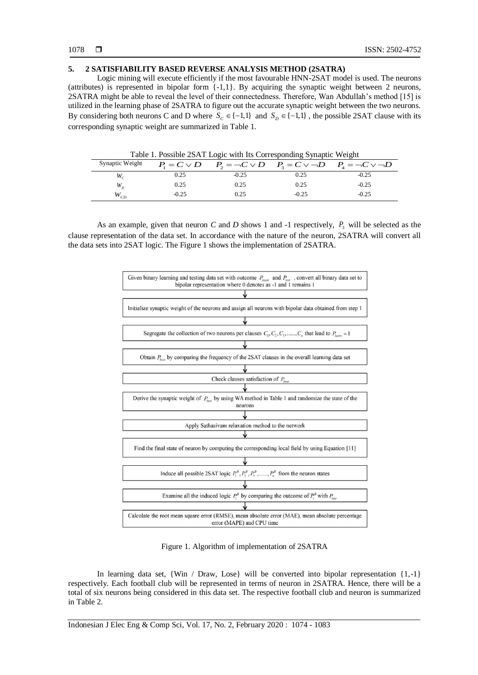# **5. 2 SATISFIABILITY BASED REVERSE ANALYSIS METHOD (2SATRA)**

Logic mining will execute efficiently if the most favourable HNN-2SAT model is used. The neurons (attributes) is represented in bipolar form {-1,1}. By acquiring the synaptic weight between 2 neurons, 2SATRA might be able to reveal the level of their connectedness. Therefore, Wan Abdullah's method [15] is utilized in the learning phase of 2SATRA to figure out the accurate synaptic weight between the two neurons. By considering both neurons C and D where  $S_c \in \{-1,1\}$  and  $S_p \in \{-1,1\}$ , the possible 2SAT clause with its corresponding synaptic weight are summarized in Table 1.

Synaptic Weight  $P = C \vee D$   $P = \neg C \vee D$   $P = C \vee \neg D$   $P = \neg C \vee \neg D$  $W_c$  $0.25$   $-0.25$   $0.25$   $-0.25$ *W<sup>D</sup>*  $0.25$  0.25  $-0.25$   $-0.25$ *WCD* -0.25 -0.25 -0.25 -0.25

Table 1. Possible 2SAT Logic with Its Corresponding Synaptic Weight

As an example, given that neuron *C* and *D* shows 1 and -1 respectively,  $P_3$  will be selected as the clause representation of the data set. In accordance with the nature of the neuron, 2SATRA will convert all the data sets into 2SAT logic. The Figure 1 shows the implementation of 2SATRA.



Figure 1. Algorithm of implementation of 2SATRA

In learning data set, {Win / Draw, Lose} will be converted into bipolar representation {1,-1} respectively. Each football club will be represented in terms of neuron in 2SATRA. Hence, there will be a total of six neurons being considered in this data set. The respective football club and neuron is summarized in Table 2.

Indonesian J Elec Eng & Comp Sci, Vol. 17, No. 2, February 2020 : 1074 - 1083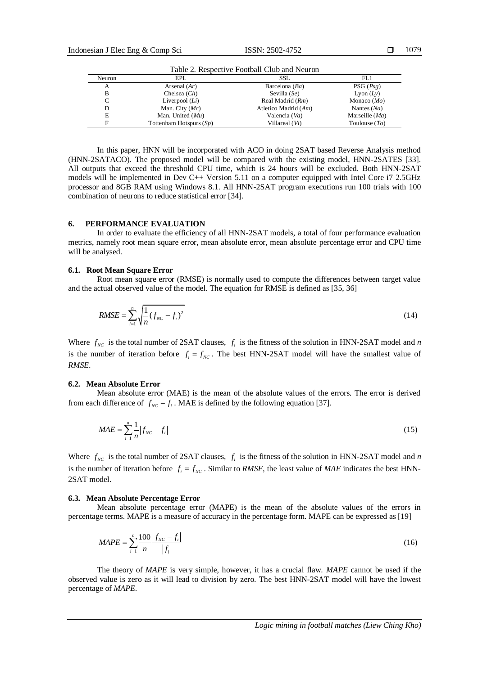1079

| Table 2. Respective Football Club and Neuron |                            |                      |                  |  |  |
|----------------------------------------------|----------------------------|----------------------|------------------|--|--|
| Neuron                                       | EPL                        | SSL                  | FL1              |  |  |
| А                                            | Arsenal $(Ar)$             | Barcelona $(Ba)$     | PSG(Psg)         |  |  |
| в                                            | Chelsea $(Ch)$             | Sevilla $(Se)$       | Lyon $(Ly)$      |  |  |
| C                                            | Liverpool $(Li)$           | Real Madrid (Rm)     | Monaco $(Mo)$    |  |  |
| D                                            | Man. City $(Mc)$           | Atletico Madrid (Am) | Nantes $(Na)$    |  |  |
| Е                                            | Man. United $(Mu)$         | Valencia (Va)        | Marseille $(Ma)$ |  |  |
| F                                            | Tottenham Hotspurs $(S_p)$ | Villareal (Vi)       | Toulouse $(TO)$  |  |  |

In this paper, HNN will be incorporated with ACO in doing 2SAT based Reverse Analysis method (HNN-2SATACO). The proposed model will be compared with the existing model, HNN-2SATES [33]. All outputs that exceed the threshold CPU time, which is 24 hours will be excluded. Both HNN-2SAT models will be implemented in Dev C++ Version 5.11 on a computer equipped with Intel Core i7 2.5GHz processor and 8GB RAM using Windows 8.1. All HNN-2SAT program executions run 100 trials with 100 combination of neurons to reduce statistical error [34].

# **6. PERFORMANCE EVALUATION**

In order to evaluate the efficiency of all HNN-2SAT models, a total of four performance evaluation metrics, namely root mean square error, mean absolute error, mean absolute percentage error and CPU time will be analysed.

#### **6.1. Root Mean Square Error**

Root mean square error (RMSE) is normally used to compute the differences between target value and the actual observed value of the model. The equation for RMSE is defined as [35, 36]

$$
RMSE = \sum_{i=1}^{n} \sqrt{\frac{1}{n} (f_{NC} - f_i)^2}
$$
 (14)

Where  $f_{NC}$  is the total number of 2SAT clauses,  $f_i$  is the fitness of the solution in HNN-2SAT model and *n* is the number of iteration before  $f_i = f_{NC}$ . The best HNN-2SAT model will have the smallest value of *RMSE*.

#### **6.2. Mean Absolute Error**

Mean absolute error (MAE) is the mean of the absolute values of the errors. The error is derived from each difference of  $f_{NC} - f_i$ . MAE is defined by the following equation [37].

$$
MAE = \sum_{i=1}^{n} \frac{1}{n} |f_{NC} - f_i|
$$
\n(15)

Where  $f_{NC}$  is the total number of 2SAT clauses,  $f_i$  is the fitness of the solution in HNN-2SAT model and *n* is the number of iteration before  $f_i = f_{NC}$ . Similar to *RMSE*, the least value of *MAE* indicates the best HNN-2SAT model.

#### **6.3. Mean Absolute Percentage Error**

Mean absolute percentage error (MAPE) is the mean of the absolute values of the errors in percentage terms. MAPE is a measure of accuracy in the percentage form. MAPE can be expressed as [19]

$$
MAPE = \sum_{i=1}^{n} \frac{100}{n} \frac{|f_{NC} - f_i|}{|f_i|}
$$
 (16)

The theory of *MAPE* is very simple, however, it has a crucial flaw. *MAPE* cannot be used if the observed value is zero as it will lead to division by zero. The best HNN-2SAT model will have the lowest percentage of *MAPE*.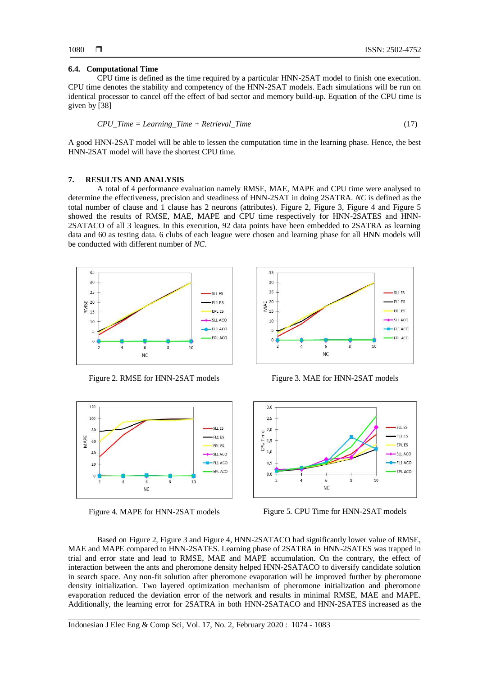#### **6.4. Computational Time**

CPU time is defined as the time required by a particular HNN-2SAT model to finish one execution. CPU time denotes the stability and competency of the HNN-2SAT models. Each simulations will be run on identical processor to cancel off the effect of bad sector and memory build-up. Equation of the CPU time is given by [38]

$$
CPU\_Time = Learning\_Time + Retrieval\_Time
$$
\n
$$
(17)
$$

A good HNN-2SAT model will be able to lessen the computation time in the learning phase. Hence, the best HNN-2SAT model will have the shortest CPU time.

#### **7. RESULTS AND ANALYSIS**

A total of 4 performance evaluation namely RMSE, MAE, MAPE and CPU time were analysed to determine the effectiveness, precision and steadiness of HNN-2SAT in doing 2SATRA. *NC* is defined as the total number of clause and 1 clause has 2 neurons (attributes). Figure 2, Figure 3, Figure 4 and Figure 5 showed the results of RMSE, MAE, MAPE and CPU time respectively for HNN-2SATES and HNN-2SATACO of all 3 leagues. In this execution, 92 data points have been embedded to 2SATRA as learning data and 60 as testing data. 6 clubs of each league were chosen and learning phase for all HNN models will be conducted with different number of *NC*.







Figure 2. RMSE for HNN-2SAT models Figure 3. MAE for HNN-2SAT models



Figure 4. MAPE for HNN-2SAT models Figure 5. CPU Time for HNN-2SAT models

Based on Figure 2, Figure 3 and Figure 4, HNN-2SATACO had significantly lower value of RMSE, MAE and MAPE compared to HNN-2SATES. Learning phase of 2SATRA in HNN-2SATES was trapped in trial and error state and lead to RMSE, MAE and MAPE accumulation. On the contrary, the effect of interaction between the ants and pheromone density helped HNN-2SATACO to diversify candidate solution in search space. Any non-fit solution after pheromone evaporation will be improved further by pheromone density initialization. Two layered optimization mechanism of pheromone initialization and pheromone evaporation reduced the deviation error of the network and results in minimal RMSE, MAE and MAPE. Additionally, the learning error for 2SATRA in both HNN-2SATACO and HNN-2SATES increased as the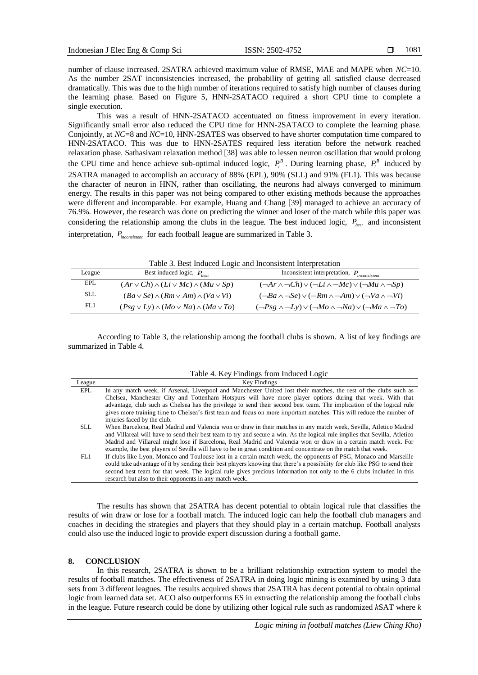number of clause increased. 2SATRA achieved maximum value of RMSE, MAE and MAPE when *NC*=10. As the number 2SAT inconsistencies increased, the probability of getting all satisfied clause decreased dramatically. This was due to the high number of iterations required to satisfy high number of clauses during the learning phase. Based on Figure 5, HNN-2SATACO required a short CPU time to complete a single execution.

This was a result of HNN-2SATACO accentuated on fitness improvement in every iteration. Significantly small error also reduced the CPU time for HNN-2SATACO to complete the learning phase. Conjointly, at *NC*=8 and *NC*=10, HNN-2SATES was observed to have shorter computation time compared to HNN-2SATACO. This was due to HNN-2SATES required less iteration before the network reached relaxation phase. Sathasivam relaxation method [38] was able to lessen neuron oscillation that would prolong the CPU time and hence achieve sub-optimal induced logic,  $P_i^B$ . During learning phase,  $P_i^B$  induced by 2SATRA managed to accomplish an accuracy of 88% (EPL), 90% (SLL) and 91% (FL1). This was because the character of neuron in HNN, rather than oscillating, the neurons had always converged to minimum energy. The results in this paper was not being compared to other existing methods because the approaches were different and incomparable. For example, Huang and Chang [39] managed to achieve an accuracy of 76.9%. However, the research was done on predicting the winner and loser of the match while this paper was considering the relationship among the clubs in the league. The best induced logic,  $P_{best}$  and inconsistent interpretation, *Pinconsistent* for each football league are summarized in Table 3.

|        | Table 3. Best Induced Logic and Inconsistent Interpretation |                                                                                        |
|--------|-------------------------------------------------------------|----------------------------------------------------------------------------------------|
| League | Best induced logic, $P_{best}$                              | Inconsistent interpretation, $P_{inconsistent}$                                        |
| EPL    | $(Ar\vee Ch)\wedge (Li\vee Mc)\wedge (Mu\vee Sp)$           | $(\neg Ar \wedge \neg Ch) \vee (\neg Li \wedge \neg Mc) \vee (\neg Mu \wedge \neg Sp)$ |
| - SLL  | $(Ba \vee Se) \wedge (Rm \vee Am) \wedge (Va \vee Vi)$      | $(\neg Ba \wedge \neg Se) \vee (\neg Rm \wedge \neg Am) \vee (\neg Va \wedge \neg Vi)$ |

According to Table 3, the relationship among the football clubs is shown. A list of key findings are summarized in Table 4.

| Table 4. Key Findings from Induced Logic |  |  |  |  |
|------------------------------------------|--|--|--|--|
|------------------------------------------|--|--|--|--|

 $(Psg \vee Ly) \wedge (Mo \vee Na) \wedge (Ma \vee To)$   $(\neg Psg \wedge \neg Ly) \vee (\neg Mo \wedge \neg Na) \vee (\neg Ma \wedge \neg To)$ 

| League     | Key Findings                                                                                                                |
|------------|-----------------------------------------------------------------------------------------------------------------------------|
| EPL        | In any match week, if Arsenal, Liverpool and Manchester United lost their matches, the rest of the clubs such as            |
|            | Chelsea, Manchester City and Tottenham Hotspurs will have more player options during that week. With that                   |
|            | advantage, club such as Chelsea has the privilege to send their second best team. The implication of the logical rule       |
|            | gives more training time to Chelsea's first team and focus on more important matches. This will reduce the number of        |
|            | injuries faced by the club.                                                                                                 |
| <b>SLL</b> | When Barcelona, Real Madrid and Valencia won or draw in their matches in any match week, Sevilla, Atletico Madrid           |
|            | and Villareal will have to send their best team to try and secure a win. As the logical rule implies that Sevilla, Atletico |
|            | Madrid and Villareal might lose if Barcelona, Real Madrid and Valencia won or draw in a certain match week. For             |
|            | example, the best players of Sevilla will have to be in great condition and concentrate on the match that week.             |
| FL1        | If clubs like Lyon, Monaco and Toulouse lost in a certain match week, the opponents of PSG, Monaco and Marseille            |
|            | could take advantage of it by sending their best players knowing that there's a possibility for club like PSG to send their |
|            | second best team for that week. The logical rule gives precious information not only to the 6 clubs included in this        |
|            | research but also to their opponents in any match week.                                                                     |

The results has shown that 2SATRA has decent potential to obtain logical rule that classifies the results of win draw or lose for a football match. The induced logic can help the football club managers and coaches in deciding the strategies and players that they should play in a certain matchup. Football analysts could also use the induced logic to provide expert discussion during a football game.

## **8. CONCLUSION**

FL1

In this research, 2SATRA is shown to be a brilliant relationship extraction system to model the results of football matches. The effectiveness of 2SATRA in doing logic mining is examined by using 3 data sets from 3 different leagues. The results acquired shows that 2SATRA has decent potential to obtain optimal logic from learned data set. ACO also outperforms ES in extracting the relationship among the football clubs in the league. Future research could be done by utilizing other logical rule such as randomized *k*SAT where *k*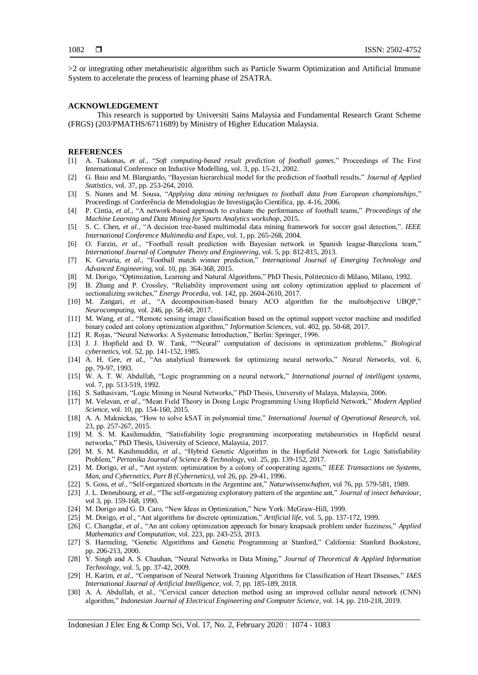>2 or integrating other metaheuristic algorithm such as Particle Swarm Optimization and Artificial Immune System to accelerate the process of learning phase of 2SATRA.

#### **ACKNOWLEDGEMENT**

This research is supported by Universiti Sains Malaysia and Fundamental Research Grant Scheme (FRGS) (203/PMATHS/6711689) by Ministry of Higher Education Malaysia.

#### **REFERENCES**

- [1] A. Tsakonas, *et al*., "*Soft computing-based result prediction of football games*," Proceedings of The First International Conference on Inductive Modelling, vol. 3, pp. 15-21, 2002.
- [2] G. Baio and M. Blangiardo, "Bayesian hierarchical model for the prediction of football results," *Journal of Applied Statistics,* vol. 37, pp. 253-264, 2010.
- [3] S. Nunes and M. Sousa, "*Applying data mining techniques to football data from European championships*," Proceedings of Conferência de Metodologias de Investigação Científica, pp. 4-16, 2006.
- [4] P. Cintia, *et al*., "A network-based approach to evaluate the performance of football teams," *Proceedings of the Machine Learning and Data Mining for Sports Analytics workshop*, 2015.
- [5] S. C. Chen, *et al*., "A decision tree-based multimodal data mining framework for soccer goal detection,". *IEEE International Conference Multimedia and Expo*, vol. 1, pp. 265-268, 2004.
- [6] O. Farzin, *et al*., "Football result prediction with Bayesian network in Spanish league-Barcelona team," *International Journal of Computer Theory and Engineering*, vol. 5, pp. 812-815, 2013.
- [7] K. Gevaria, *et al*., "Football match winner prediction," *International Journal of Emerging Technology and Advanced Engineering*, vol. 10, pp. 364-368, 2015.
- [8] M. Dorigo, "Optimization, Learning and Natural Algorithms," PhD Thesis, Politecnico di Milano, Milano, 1992.
- [9] B. Zhang and P. Crossley, "Reliability improvement using ant colony optimization applied to placement of sectionalizing switches," *Energy Procedia*, vol. 142, pp. 2604-2610, 2017.
- [10] M. Zangari, *et al*., "A decomposition-based binary ACO algorithm for the multiobjective UBQP," *Neurocomputing*, vol. 246, pp. 58-68, 2017.
- [11] M. Wang, *et al*., "Remote sensing image classification based on the optimal support vector machine and modified binary coded ant colony optimization algorithm," *Information Sciences*, vol. 402, pp. 50-68, 2017.
- [12] R. Rojas, "Neural Networks: A Systematic Introduction," Berlin: Springer, 1996.
- [13] J. J. Hopfield and D. W. Tank, ""Neural" computation of decisions in optimization problems," *Biological cybernetics*, vol. 52, pp. 141-152, 1985.
- [14] A. H. Gee, *et al.,* "An analytical framework for optimizing neural networks," *Neural Networks*, vol. 6, pp. 79-97, 1993.
- [15] W. A. T. W. Abdullah, "Logic programming on a neural network," *International journal of intelligent systems*, vol. 7, pp. 513-519, 1992.
- [16] S. Sathasivam, "Logic Mining in Neural Networks," PhD Thesis, University of Malaya, Malaysia, 2006.
- [17] M. Velavan, *et al*., "Mean Field Theory in Doing Logic Programming Using Hopfield Network," *Modern Applied Science*, vol. 10, pp. 154-160, 2015.
- [18] A. A. Maknickas, "How to solve kSAT in polynomial time," *International Journal of Operational Research*, vol. 23, pp. 257-267, 2015.
- [19] M. S. M. Kasihmuddin, "Satisfiability logic programming incorporating metaheuristics in Hopfield neural networks," PhD Thesis, University of Science, Malaysia, 2017.
- [20] M. S. M. Kasihmuddin, *et al*., "Hybrid Genetic Algorithm in the Hopfield Network for Logic Satisfiability Problem," *Pertanika Journal of Science & Technology*, vol. 25, pp. 139-152, 2017.
- [21] M. Dorigo, *et al*., "Ant system: optimization by a colony of cooperating agents," *IEEE Transactions on Systems, Man, and Cybernetics, Part B (Cybernetics),* vol 26, pp. 29-41, 1996.
- [22] S. Goss, *et al*., "Self-organized shortcuts in the Argentine ant," *Naturwissenschaften*, vol 76, pp. 579-581, 1989.
- [23] J. L. Deneubourg, *et al*., "The self-organizing exploratory pattern of the argentine ant," *Journal of insect behaviour*, vol 3, pp. 159-168, 1990.
- [24] M. Dorigo and G. D. Caro, "New Ideas in Optimization," New York: McGraw-Hill, 1999.
- [25] M. Dorigo, *et al*., "Ant algorithms for discrete optimization," *Artificial life*, vol. 5, pp. 137-172, 1999.
- [26] C. Changdar, *et al*., "An ant colony optimization approach for binary knapsack problem under fuzziness," *Applied Mathematics and Computation*, vol. 223, pp. 243-253, 2013.
- [27] S. Harmeling, "Genetic Algorithms and Genetic Programming at Stanford," California: Stanford Bookstore, pp. 206-213, 2000.
- [28] Y. Singh and A. S. Chauhan, "Neural Networks in Data Mining," *Journal of Theoretical & Applied Information Technology*, vol. 5, pp. 37-42, 2009.
- [29] H. Karim, *et al*., "Comparison of Neural Network Training Algorithms for Classification of Heart Diseases," *IAES International Journal of Artificial Intelligence*, vol. 7, pp. 185-189, 2018.
- [30] A. A. Abdullah, et al., "Cervical cancer detection method using an improved cellular neural network (CNN) algorithm," *Indonesian Journal of Electrical Engineering and Computer Science*, vol. 14, pp. 210-218, 2019.